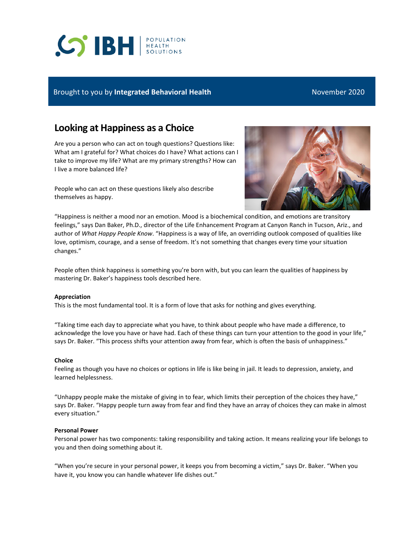# **S BH REALTH**

# Brought to you by **Integrated Behavioral Health** November 2020

# **Looking at Happiness as a Choice**

Are you a person who can act on tough questions? Questions like: What am I grateful for? What choices do I have? What actions can I take to improve my life? What are my primary strengths? How can I live a more balanced life?

People who can act on these questions likely also describe themselves as happy.



"Happiness is neither a mood nor an emotion. Mood is a biochemical condition, and emotions are transitory feelings," says Dan Baker, Ph.D., director of the Life Enhancement Program at Canyon Ranch in Tucson, Ariz., and author of *What Happy People Know*. "Happiness is a way of life, an overriding outlook composed of qualities like love, optimism, courage, and a sense of freedom. It's not something that changes every time your situation changes."

People often think happiness is something you're born with, but you can learn the qualities of happiness by mastering Dr. Baker's happiness tools described here.

### **Appreciation**

This is the most fundamental tool. It is a form of love that asks for nothing and gives everything.

"Taking time each day to appreciate what you have, to think about people who have made a difference, to acknowledge the love you have or have had. Each of these things can turn your attention to the good in your life," says Dr. Baker. "This process shifts your attention away from fear, which is often the basis of unhappiness."

### **Choice**

Feeling as though you have no choices or options in life is like being in jail. It leads to depression, anxiety, and learned helplessness.

"Unhappy people make the mistake of giving in to fear, which limits their perception of the choices they have," says Dr. Baker. "Happy people turn away from fear and find they have an array of choices they can make in almost every situation."

#### **Personal Power**

Personal power has two components: taking responsibility and taking action. It means realizing your life belongs to you and then doing something about it.

"When you're secure in your personal power, it keeps you from becoming a victim," says Dr. Baker. "When you have it, you know you can handle whatever life dishes out."